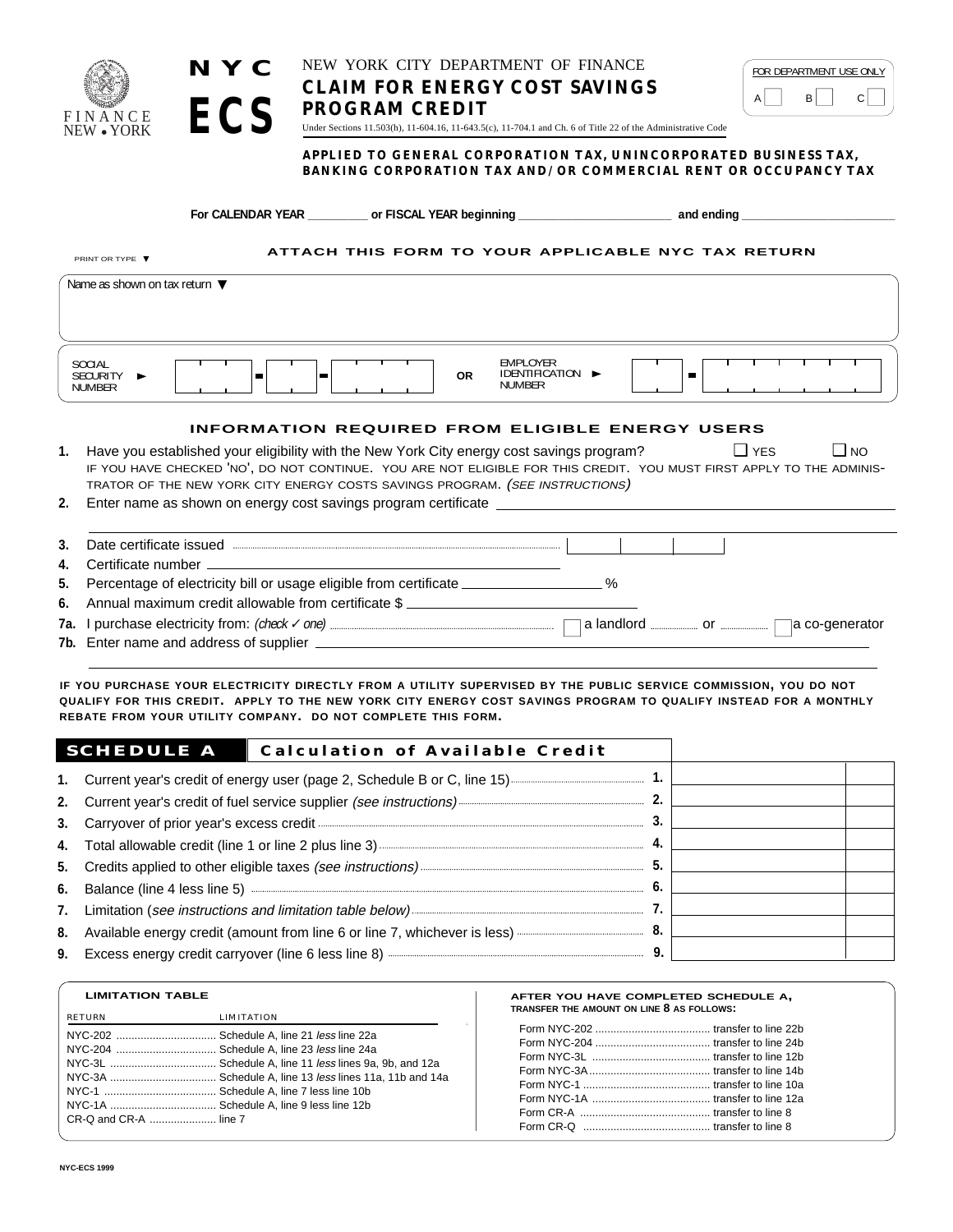

**NYC**

**ECS**

PRINT OR TYPE ▼

### NEW YORK CITY DEPARTMENT OF FINANCE **CLAIM FOR ENERGY COST SAVINGS PROGRAM CREDIT**

| FOR DEPARTMENT USE ONLY |  |
|-------------------------|--|
|                         |  |
|                         |  |

Under Sections 11.503(h), 11-604.16, 11-643.5(c), 11-704.1 and Ch. 6 of Title 22 of the Administrative Code

#### **APPLIED TO GENERAL CORPORATION TAX, UNINCORPORATED BUSINESS TAX, BANKING CORPORATION TAX AND/OR COMMERCIAL RENT OR OCCUPANCY TAX**

**For CALENDAR YEAR \_\_\_\_\_\_\_\_\_ or FISCAL YEAR beginning \_\_\_\_\_\_\_\_\_\_\_\_\_\_\_\_\_\_\_\_\_\_\_ and ending \_\_\_\_\_\_\_\_\_\_\_\_\_\_\_\_\_\_\_\_\_\_\_**

**ATTACH THIS FORM TO YOUR APPLICABLE NYC TAX RETURN**

|    | Name as shown on tax return $\blacktriangledown$                                                                                                                                                                                                                                                                              |
|----|-------------------------------------------------------------------------------------------------------------------------------------------------------------------------------------------------------------------------------------------------------------------------------------------------------------------------------|
|    |                                                                                                                                                                                                                                                                                                                               |
|    | <b>EMPLOYER</b><br><b>SOCIAL</b><br>IDENTIFICATION $\blacktriangleright$<br><b>OR</b><br><b>SECURITY</b><br>►<br><b>NUMBER</b><br><b>NUMBER</b>                                                                                                                                                                               |
|    | <b>INFORMATION REQUIRED FROM ELIGIBLE ENERGY USERS</b>                                                                                                                                                                                                                                                                        |
| 1. | Have you established your eligibility with the New York City energy cost savings program?<br>$\Box$ NO<br>$\Box$ YES<br>IF YOU HAVE CHECKED 'NO', DO NOT CONTINUE. YOU ARE NOT ELIGIBLE FOR THIS CREDIT. YOU MUST FIRST APPLY TO THE ADMINIS-<br>TRATOR OF THE NEW YORK CITY ENERGY COSTS SAVINGS PROGRAM. (SEE INSTRUCTIONS) |
|    | Fater again no electro no consumi sent conformacionesse contificate                                                                                                                                                                                                                                                           |

|  |  |  |  |  | Enter name as shown on energy cost savings program certificate |  |
|--|--|--|--|--|----------------------------------------------------------------|--|
|--|--|--|--|--|----------------------------------------------------------------|--|

| 3. | Date certificate issued <b>with the contract of the contract of the contract of the contract of the contract of the contract of the contract of the contract of the contract of the contract of the contract of the contract of </b> |
|----|--------------------------------------------------------------------------------------------------------------------------------------------------------------------------------------------------------------------------------------|
|    |                                                                                                                                                                                                                                      |
|    | 5. Percentage of electricity bill or usage eligible from certificate __________________ %                                                                                                                                            |
|    | 6. Annual maximum credit allowable from certificate \$                                                                                                                                                                               |
|    |                                                                                                                                                                                                                                      |
|    |                                                                                                                                                                                                                                      |

**IF YOU PURCHASE YOUR ELECTRICITY DIRECTLY FROM A UTILITY SUPERVISED BY THE PUBLIC SERVICE COMMISSION, YOU DO NOT QUALIFY FOR THIS CREDIT. APPLY TO THE NEW YORK CITY ENERGY COST SAVINGS PROGRAM TO QUALIFY INSTEAD FOR A MONTHLY REBATE FROM YOUR UTILITY COMPANY. DO NOT COMPLETE THIS FORM.**

| <b>SCHEDULE A</b><br>Calculation of Available Credit |  |  |
|------------------------------------------------------|--|--|
|                                                      |  |  |
|                                                      |  |  |
|                                                      |  |  |
|                                                      |  |  |
|                                                      |  |  |
|                                                      |  |  |
|                                                      |  |  |
|                                                      |  |  |
|                                                      |  |  |

| <b>LIMITATION TABLE</b> |                                            |
|-------------------------|--------------------------------------------|
| <b>RETURN</b>           | <b>LIMITATION</b>                          |
|                         | NYC-202  Schedule A, line 21 less line 22a |
|                         | NYC-204  Schedule A. line 23 less line 24a |
|                         |                                            |
|                         |                                            |
|                         |                                            |
|                         |                                            |
| CR-Q and CR-A  line 7   |                                            |

#### **AFTER YOU HAVE COMPLETED SCHEDULE A, TRANSFER THE AMOUNT ON LINE 8 AS FOLLOWS:**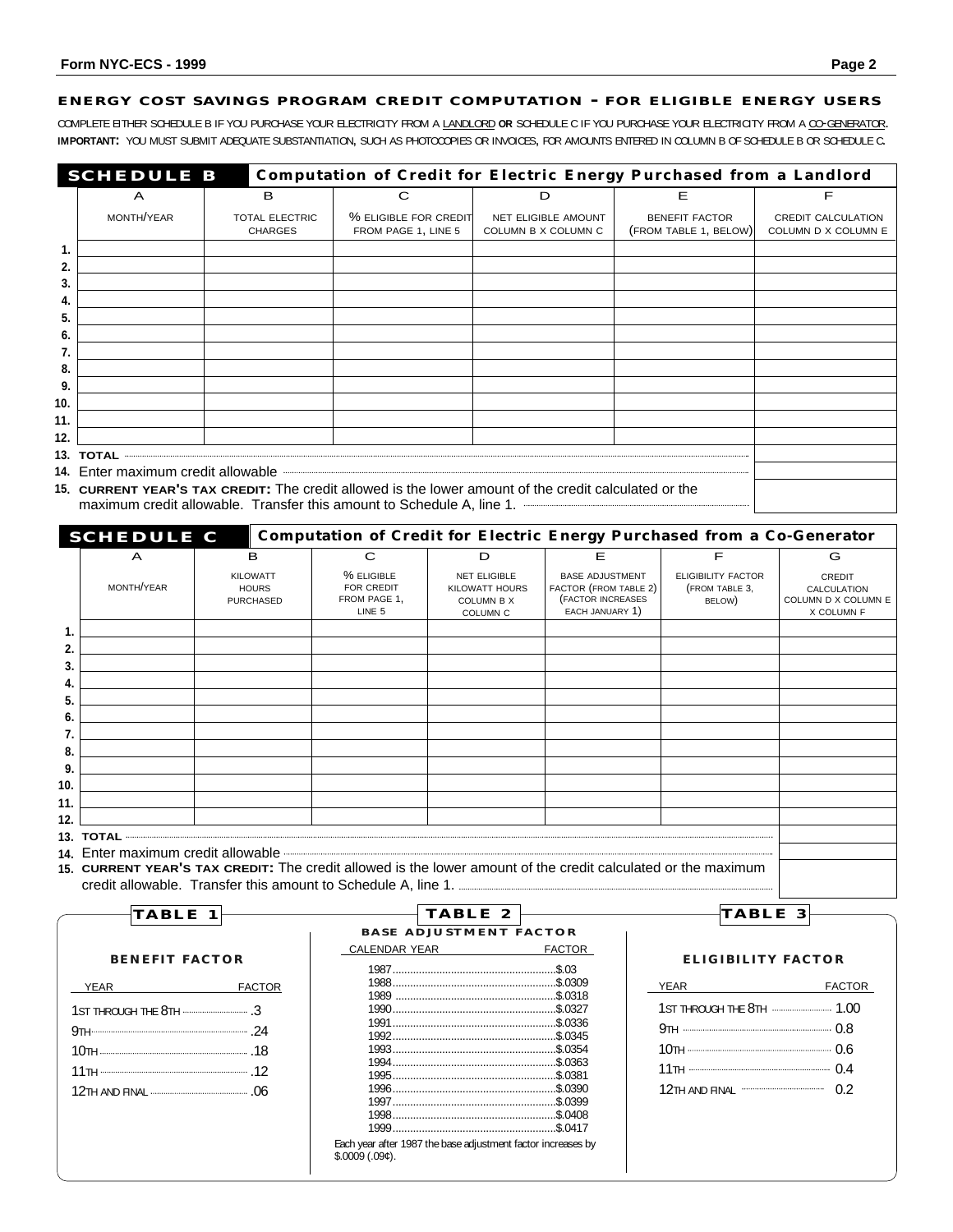#### **ENERGY COST SAVINGS PROGRAM CREDIT COMPUTATION - FOR ELIGIBLE ENERGY USERS**

COMPLETE EITHER SCHEDULE B IF YOU PURCHASE YOUR ELECTRICITY FROM A LANDLORD **OR** SCHEDULE C IF YOU PURCHASE YOUR ELECTRICITY FROM A CO-GENERATOR. **IMPORTANT:** YOU MUST SUBMIT ADEQUATE SUBSTANTIATION, SUCH AS PHOTOCOPIES OR INVOICES, FOR AMOUNTS ENTERED IN COLUMN B OF SCHEDULE B OR SCHEDULE C.

| <b>Computation of Credit for Electric Energy Purchased from a Landlord</b><br><b>SCHEDULE B</b> |                                                                                                                                                                                                        |                                         |                                              |                                                   |                                                |                                                  |  |
|-------------------------------------------------------------------------------------------------|--------------------------------------------------------------------------------------------------------------------------------------------------------------------------------------------------------|-----------------------------------------|----------------------------------------------|---------------------------------------------------|------------------------------------------------|--------------------------------------------------|--|
|                                                                                                 | A                                                                                                                                                                                                      | в                                       |                                              | D                                                 | Е                                              |                                                  |  |
|                                                                                                 | MONTH/YEAR                                                                                                                                                                                             | <b>TOTAL ELECTRIC</b><br><b>CHARGES</b> | % ELIGIBLE FOR CREDIT<br>FROM PAGE 1, LINE 5 | <b>NET ELIGIBLE AMOUNT</b><br>COLUMN B X COLUMN C | <b>BENEFIT FACTOR</b><br>(FROM TABLE 1, BELOW) | <b>CREDIT CALCULATION</b><br>COLUMN D X COLUMN E |  |
| 1.                                                                                              |                                                                                                                                                                                                        |                                         |                                              |                                                   |                                                |                                                  |  |
| 2.                                                                                              |                                                                                                                                                                                                        |                                         |                                              |                                                   |                                                |                                                  |  |
| 3.                                                                                              |                                                                                                                                                                                                        |                                         |                                              |                                                   |                                                |                                                  |  |
| 4.                                                                                              |                                                                                                                                                                                                        |                                         |                                              |                                                   |                                                |                                                  |  |
| 5                                                                                               |                                                                                                                                                                                                        |                                         |                                              |                                                   |                                                |                                                  |  |
| 6                                                                                               |                                                                                                                                                                                                        |                                         |                                              |                                                   |                                                |                                                  |  |
|                                                                                                 |                                                                                                                                                                                                        |                                         |                                              |                                                   |                                                |                                                  |  |
| 8.                                                                                              |                                                                                                                                                                                                        |                                         |                                              |                                                   |                                                |                                                  |  |
| 9.                                                                                              |                                                                                                                                                                                                        |                                         |                                              |                                                   |                                                |                                                  |  |
| 10.                                                                                             |                                                                                                                                                                                                        |                                         |                                              |                                                   |                                                |                                                  |  |
| 11.                                                                                             |                                                                                                                                                                                                        |                                         |                                              |                                                   |                                                |                                                  |  |
| 12.                                                                                             |                                                                                                                                                                                                        |                                         |                                              |                                                   |                                                |                                                  |  |
|                                                                                                 |                                                                                                                                                                                                        |                                         |                                              |                                                   |                                                |                                                  |  |
|                                                                                                 |                                                                                                                                                                                                        |                                         |                                              |                                                   |                                                |                                                  |  |
|                                                                                                 | 15. CURRENT YEAR'S TAX CREDIT: The credit allowed is the lower amount of the credit calculated or the<br>maximum credit allowable. Transfer this amount to Schedule A, line 1. <b>Accord A.</b> 100 1. |                                         |                                              |                                                   |                                                |                                                  |  |

| <b>Computation of Credit for Electric Energy Purchased from a Co-Generator</b><br><b>SCHEDULE C</b>                                                                                                                                                                                                                                                  |                                  |                                             |                                                               |                                                               |                           |                                                         |
|------------------------------------------------------------------------------------------------------------------------------------------------------------------------------------------------------------------------------------------------------------------------------------------------------------------------------------------------------|----------------------------------|---------------------------------------------|---------------------------------------------------------------|---------------------------------------------------------------|---------------------------|---------------------------------------------------------|
| A                                                                                                                                                                                                                                                                                                                                                    | в                                | C                                           | D                                                             | Е                                                             | F                         | G                                                       |
|                                                                                                                                                                                                                                                                                                                                                      | <b>KILOWATT</b>                  | % ELIGIBLE                                  | <b>NET ELIGIBLE</b>                                           | <b>BASE ADJUSTMENT</b>                                        | <b>ELIGIBILITY FACTOR</b> | CREDIT                                                  |
| MONTH/YEAR                                                                                                                                                                                                                                                                                                                                           | <b>HOURS</b><br><b>PURCHASED</b> | <b>FOR CREDIT</b><br>FROM PAGE 1,<br>LINE 5 | <b>KILOWATT HOURS</b><br><b>COLUMN B X</b><br><b>COLUMN C</b> | FACTOR (FROM TABLE 2)<br>(FACTOR INCREASES<br>EACH JANUARY 1) | (FROM TABLE 3,<br>BELOW)  | <b>CALCULATION</b><br>COLUMN D X COLUMN E<br>X COLUMN F |
|                                                                                                                                                                                                                                                                                                                                                      |                                  |                                             |                                                               |                                                               |                           |                                                         |
|                                                                                                                                                                                                                                                                                                                                                      |                                  |                                             |                                                               |                                                               |                           |                                                         |
| 3.                                                                                                                                                                                                                                                                                                                                                   |                                  |                                             |                                                               |                                                               |                           |                                                         |
| 4.                                                                                                                                                                                                                                                                                                                                                   |                                  |                                             |                                                               |                                                               |                           |                                                         |
| 5.                                                                                                                                                                                                                                                                                                                                                   |                                  |                                             |                                                               |                                                               |                           |                                                         |
| 6.                                                                                                                                                                                                                                                                                                                                                   |                                  |                                             |                                                               |                                                               |                           |                                                         |
|                                                                                                                                                                                                                                                                                                                                                      |                                  |                                             |                                                               |                                                               |                           |                                                         |
| 8.                                                                                                                                                                                                                                                                                                                                                   |                                  |                                             |                                                               |                                                               |                           |                                                         |
| 9.                                                                                                                                                                                                                                                                                                                                                   |                                  |                                             |                                                               |                                                               |                           |                                                         |
| 10.                                                                                                                                                                                                                                                                                                                                                  |                                  |                                             |                                                               |                                                               |                           |                                                         |
| 11.                                                                                                                                                                                                                                                                                                                                                  |                                  |                                             |                                                               |                                                               |                           |                                                         |
| 12.                                                                                                                                                                                                                                                                                                                                                  |                                  |                                             |                                                               |                                                               |                           |                                                         |
|                                                                                                                                                                                                                                                                                                                                                      |                                  |                                             |                                                               |                                                               |                           |                                                         |
| 14. Enter maximum credit allowable <b>www.washimum.communities are allowable</b> and a strategy and a strategy and a strategy and a strategy and a strategy and a strategy and a strategy and a strategy and a strategy and a strat<br>15. CURRENT YEAR'S TAX CREDIT: The credit allowed is the lower amount of the credit calculated or the maximum |                                  |                                             |                                                               |                                                               |                           |                                                         |
|                                                                                                                                                                                                                                                                                                                                                      |                                  |                                             |                                                               |                                                               |                           |                                                         |

| <b>TABLE</b>                 | TABLE 2                                                                         |                    |             | TABLE 3                   |  |  |
|------------------------------|---------------------------------------------------------------------------------|--------------------|-------------|---------------------------|--|--|
|                              | <b>BASE ADJUSTMENT FACTOR</b>                                                   |                    |             |                           |  |  |
|                              | CALENDAR YEAR                                                                   | <b>FACTOR</b>      |             |                           |  |  |
| <b>BENEFIT FACTOR</b>        |                                                                                 |                    |             | <b>ELIGIBILITY FACTOR</b> |  |  |
| <b>YEAR</b><br><b>FACTOR</b> |                                                                                 |                    | <b>YEAR</b> | <b>FACTOR</b>             |  |  |
|                              |                                                                                 | \$ 0318<br>\$ 0327 |             | 1ST THROUGH THE 8TH  1.00 |  |  |
|                              | Each year after 1987 the base adjustment factor increases by<br>$$.0009(.09)$ . |                    |             |                           |  |  |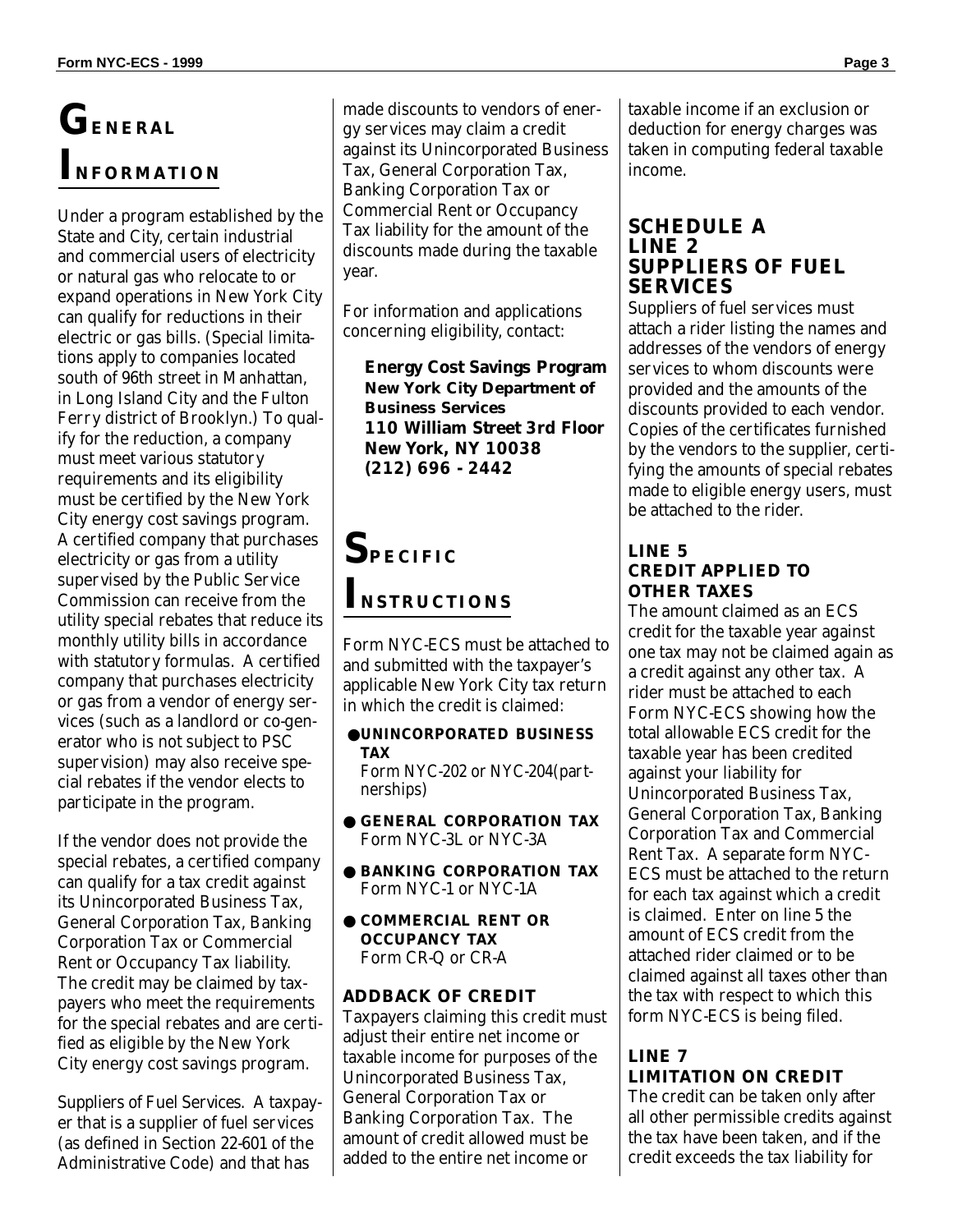# **GENERAL INFORMATION**

Under a program established by the State and City, certain industrial and commercial users of electricity or natural gas who relocate to or expand operations in New York City can qualify for reductions in their electric or gas bills. (Special limitations apply to companies located south of 96th street in Manhattan, in Long Island City and the Fulton Ferry district of Brooklyn.) To qualify for the reduction, a company must meet various statutory requirements and its eligibility must be certified by the New York City energy cost savings program. A certified company that purchases electricity or gas from a utility supervised by the Public Service Commission can receive from the utility special rebates that reduce its monthly utility bills in accordance with statutory formulas. A certified company that purchases electricity or gas from a vendor of energy services (such as a landlord or co-generator who is not subject to PSC supervision) may also receive special rebates if the vendor elects to participate in the program.

If the vendor does not provide the special rebates, a certified company can qualify for a tax credit against its Unincorporated Business Tax, General Corporation Tax, Banking Corporation Tax or Commercial Rent or Occupancy Tax liability. The credit may be claimed by taxpayers who meet the requirements for the special rebates and are certified as eligible by the New York City energy cost savings program.

Suppliers of Fuel Services. A taxpayer that is a supplier of fuel services (as defined in Section 22-601 of the Administrative Code) and that has

made discounts to vendors of energy services may claim a credit against its Unincorporated Business Tax, General Corporation Tax, Banking Corporation Tax or Commercial Rent or Occupancy Tax liability for the amount of the discounts made during the taxable year.

For information and applications concerning eligibility, contact:

**Energy Cost Savings Program New York City Department of Business Services 110 William Street 3rd Floor New York, NY 10038 (212) 696 - 2442**

# **SPECIFIC INSTRUCTIONS**

Form NYC-ECS must be attached to and submitted with the taxpayer's applicable New York City tax return in which the credit is claimed:

●**UNINCORPORATED BUSINESS TAX** Form NYC-202 or NYC-204(part-

nerships)

- **GENERAL CORPORATION TAX** Form NYC-3L or NYC-3A
- **BANKING CORPORATION TAX** Form NYC-1 or NYC-1A
- **COMMERCIAL RENT OR OCCUPANCY TAX** Form CR-Q or CR-A

### **ADDBACK OF CREDIT**

Taxpayers claiming this credit must adjust their entire net income or taxable income for purposes of the Unincorporated Business Tax, General Corporation Tax or Banking Corporation Tax. The amount of credit allowed must be added to the entire net income or

taxable income if an exclusion or deduction for energy charges was taken in computing federal taxable income.

#### **SCHEDULE A LINE 2 SUPPLIERS OF FUEL SERVICES**

Suppliers of fuel services must attach a rider listing the names and addresses of the vendors of energy services to whom discounts were provided and the amounts of the discounts provided to each vendor. Copies of the certificates furnished by the vendors to the supplier, certifying the amounts of special rebates made to eligible energy users, must be attached to the rider.

#### **LINE 5 CREDIT APPLIED TO OTHER TAXES**

The amount claimed as an ECS credit for the taxable year against one tax may not be claimed again as a credit against any other tax. A rider must be attached to each Form NYC-ECS showing how the total allowable ECS credit for the taxable year has been credited against your liability for Unincorporated Business Tax, General Corporation Tax, Banking Corporation Tax and Commercial Rent Tax. A separate form NYC-ECS must be attached to the return for each tax against which a credit is claimed. Enter on line 5 the amount of ECS credit from the attached rider claimed or to be claimed against all taxes other than the tax with respect to which this form NYC-ECS is being filed.

## **LINE 7 LIMITATION ON CREDIT**

The credit can be taken only after all other permissible credits against the tax have been taken, and if the credit exceeds the tax liability for